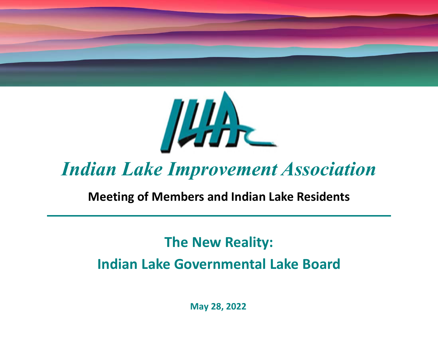

# *Indian Lake Improvement Association*

### **Meeting of Members and Indian Lake Residents**

# **The New Reality:**

# **Indian Lake Governmental Lake Board**

**May 28, 2022**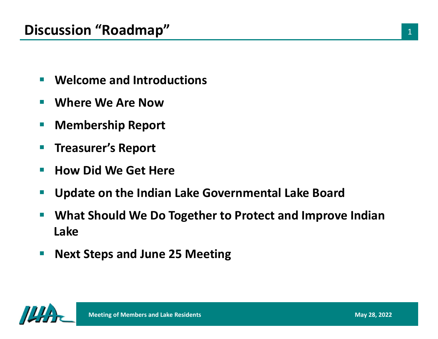- $\mathcal{L}_{\mathcal{A}}$ **Welcome and Introductions**
- $\sim$ **Where We Are Now**
- $\mathbb{R}^n$ **Membership Report**
- p. **Treasurer's Report**
- $\sim$ **How Did We Get Here**
- $\sim$ **Update on the Indian Lake Governmental Lake Board**
- $\overline{\phantom{a}}$  **What Should We Do Together to Protect and Improve Indian Lake**
- $\mathcal{L}_{\mathcal{A}}$ **Next Steps and June 25 Meeting**

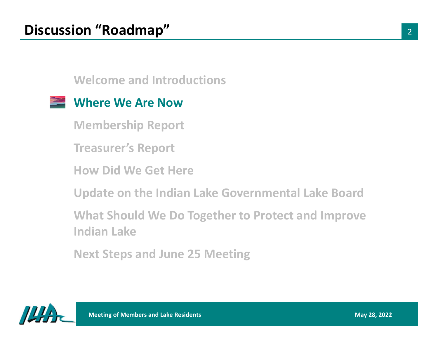### **Where We Are Now**

**Membership Report**

**Treasurer's Report**

**How Did We Get Here**

**Update on the Indian Lake Governmental Lake Board**

**What Should We Do Together to Protect and Improve Indian Lake**

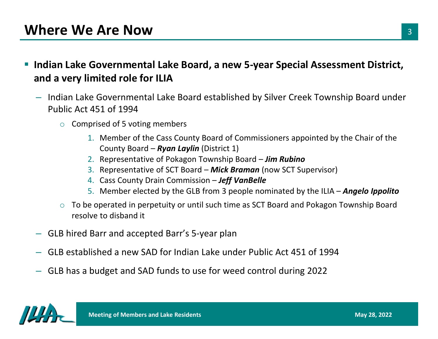- $\overline{\phantom{a}}$  **Indian Lake Governmental Lake Board, a new 5-year Special Assessment District, and a very limited role for ILIA**
	- Indian Lake Governmental Lake Board established by Silver Creek Township Board under Public Act 451 of 1994
		- $\circ$  Comprised of 5 voting members
			- 1. Member of the Cass County Board of Commissioners appointed by the Chair of the County Board – *Ryan Laylin* (District 1)
			- 2. Representative of Pokagon Township Board *Jim Rubino*
			- 3. Representative of SCT Board *Mick Braman* (now SCT Supervisor)
			- 4. Cass County Drain Commission *Jeff VanBelle*
			- 5. Member elected by the GLB from 3 people nominated by the ILIA *Angelo Ippolito*
		- $\circ$  To be operated in perpetuity or until such time as SCT Board and Pokagon Township Board resolve to disband it
	- GLB hired Barr and accepted Barr's 5-year plan
	- GLB established a new SAD for Indian Lake under Public Act 451 of 1994
	- GLB has a budget and SAD funds to use for weed control during 2022

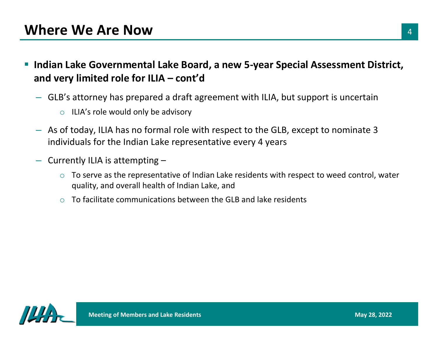- $\overline{\phantom{a}}$  **Indian Lake Governmental Lake Board, a new 5-year Special Assessment District, and very limited role for ILIA – cont'd**
	- GLB's attorney has prepared a draft agreement with ILIA, but support is uncertain
		- $\circ$  ILIA's role would only be advisory
	- As of today, ILIA has no formal role with respect to the GLB, except to nominate 3 individuals for the Indian Lake representative every 4 years
	- Currently ILIA is attempting
		- o To serve as the representative of Indian Lake residents with respect to weed control, water quality, and overall health of Indian Lake, and
		- oTo facilitate communications between the GLB and lake residents

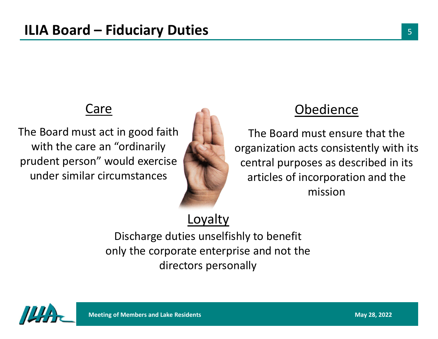# Care

The Board must act in good faith with the care an "ordinarily prudent person" would exercise under similar circumstances



# e Obedience

The Board must ensure that the organization acts consistently with its central purposes as described in its articles of incorporation and the mission

# Loyalty

Discharge duties unselfishly to benefit only the corporate enterprise and not the directors personally

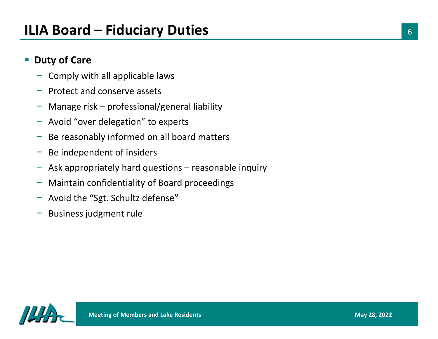### $\overline{\phantom{a}}$ **Duty of Care**

- Comply with all applicable laws
- −Protect and conserve assets
- −Manage risk – professional/general liability
- − Avoid "over delegation" to experts
- −Be reasonably informed on all board matters
- −Be independent of insiders
- −Ask appropriately hard questions – reasonable inquiry
- −Maintain confidentiality of Board proceedings
- −Avoid the "Sgt. Schultz defense"
- Business judgment rule

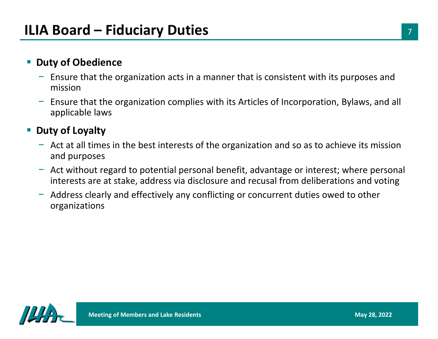#### $\mathcal{L}_{\mathcal{A}}$ **Duty of Obedience**

- − Ensure that the organization acts in a manner that is consistent with its purposes and mission
- − Ensure that the organization complies with its Articles of Incorporation, Bylaws, and all applicable laws

#### $\mathcal{L}_{\mathcal{A}}$ **Duty of Loyalty**

- − Act at all times in the best interests of the organization and so as to achieve its mission and purposes
- − Act without regard to potential personal benefit, advantage or interest; where personal interests are at stake, address via disclosure and recusal from deliberations and voting
- Address clearly and effectively any conflicting or concurrent duties owed to other organizations

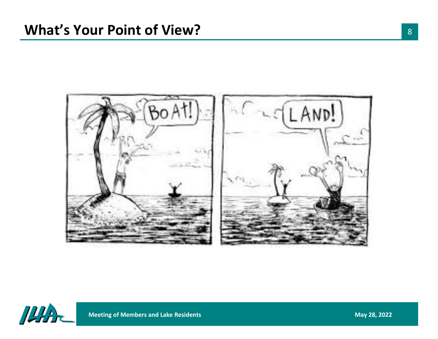



**Meeting of Members and Lake Residents**<br> **May 28, 2022**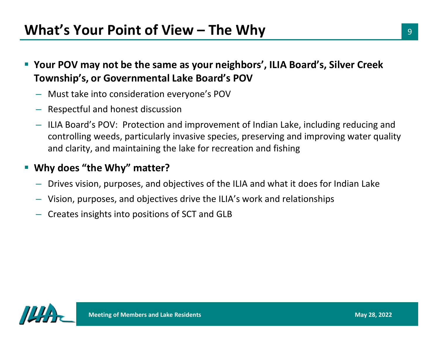- $\mathcal{L}_{\mathcal{A}}$  **Your POV may not be the same as your neighbors', ILIA Board's, Silver Creek Township's, or Governmental Lake Board's POV**
	- Must take into consideration everyone's POV
	- Respectful and honest discussion
	- ILIA Board's POV: Protection and improvement of Indian Lake, including reducing and controlling weeds, particularly invasive species, preserving and improving water quality and clarity, and maintaining the lake for recreation and fishing

### **Why does "the Why" matter?**

- Drives vision, purposes, and objectives of the ILIA and what it does for Indian Lake
- Vision, purposes, and objectives drive the ILIA's work and relationships
- Creates insights into positions of SCT and GLB

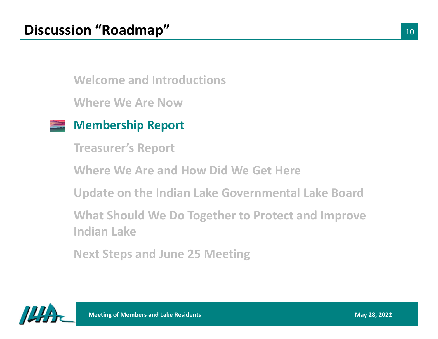**Where We Are Now**



**Treasurer's Report**

**Where We Are and How Did We Get Here**

**Update on the Indian Lake Governmental Lake Board**

**What Should We Do Together to Protect and Improve Indian Lake**

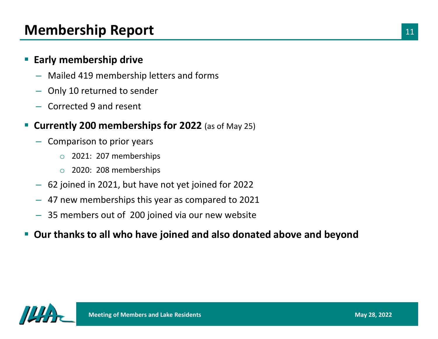# **Membership Report**

### $\mathbb{R}^n$ **Early membership drive**

- Mailed 419 membership letters and forms
- –Only 10 returned to sender
- Corrected 9 and resent

#### $\Box$ **Currently 200 memberships for 2022** (as of May 25)

- Comparison to prior years
	- o2021: 207 memberships
	- o 2020: 208 memberships
- 62 joined in 2021, but have not yet joined for 2022
- 47 new memberships this year as compared to 2021
- 35 members out of 200 joined via our new website
- $\Box$ **Our thanks to all who have joined and also donated above and beyond**

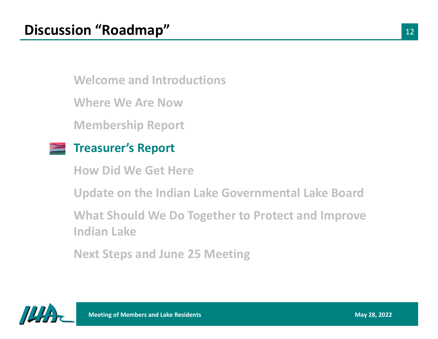**Where We Are Now**

**Membership Report**

### **Treasurer's Report**

**How Did We Get Here**

**Update on the Indian Lake Governmental Lake Board**

**What Should We Do Together to Protect and Improve Indian Lake**

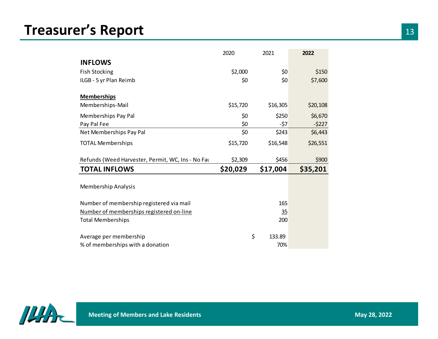# **Treasurer's Report**

|                                                   | 2020     | 2021            | 2022     |
|---------------------------------------------------|----------|-----------------|----------|
| <b>INFLOWS</b>                                    |          |                 |          |
| <b>Fish Stocking</b>                              | \$2,000  | \$0             | \$150    |
| ILGB - 5 yr Plan Reimb                            | \$0      | 50              | \$7,600  |
| <b>Memberships</b>                                |          |                 |          |
| Memberships-Mail                                  | \$15,720 | \$16,305        | \$20,108 |
| Memberships Pay Pal                               | \$0      | \$250           | \$6,670  |
| Pay Pal Fee                                       | \$0      | $-57$           | $-5227$  |
| Net Memberships Pay Pal                           | \$0      | \$243           | \$6,443  |
| <b>TOTAL Memberships</b>                          | \$15,720 | \$16,548        | \$26,551 |
| Refunds (Weed Harvester, Permit, WC, Ins - No Fat | \$2,309  | \$456           | \$900    |
| <b>TOTAL INFLOWS</b>                              | \$20,029 | \$17,004        | \$35,201 |
| Membership Analysis                               |          |                 |          |
| Number of membership registered via mail          |          | 165             |          |
| Number of memberships registered on-line          |          | $\overline{35}$ |          |
| <b>Total Memberships</b>                          |          | 200             |          |
| Average per membership                            | \$       | 133.89          |          |
|                                                   |          |                 |          |

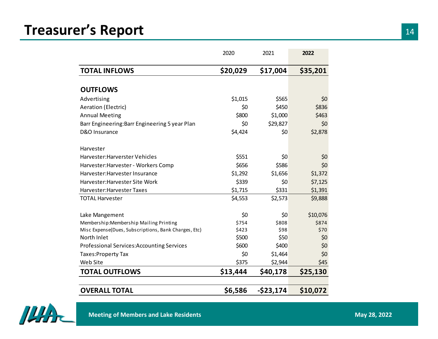# **Treasurer's Report**

|                                                      | 2020     | 2021         | 2022     |
|------------------------------------------------------|----------|--------------|----------|
| <b>TOTAL INFLOWS</b>                                 | \$20,029 | \$17,004     | \$35,201 |
|                                                      |          |              |          |
| <b>OUTFLOWS</b>                                      |          |              |          |
| Advertising                                          | \$1,015  | \$565        | \$0      |
| <b>Aeration (Electric)</b>                           | \$0      | \$450        | \$836    |
| <b>Annual Meeting</b>                                | \$800    | \$1,000      | \$463    |
| Barr Engineering: Barr Engineering 5 year Plan       | \$0      | \$29,827     | \$0      |
| D&O Insurance                                        | \$4,424  | \$0          | \$2,878  |
| Harvester                                            |          |              |          |
| Harvester: Harverster Vehicles                       | \$551    | \$0          | \$0      |
| Harvester: Harvester - Workers Comp                  | \$656    | \$586        | \$0      |
| Harvester: Harvester Insurance                       | \$1,292  | \$1,656      | \$1,372  |
| Harvester: Harvester Site Work                       | \$339    | \$0          | \$7,125  |
| Harvester: Harvester Taxes                           | \$1,715  | \$331        | \$1,391  |
| <b>TOTAL Harvester</b>                               | \$4,553  | \$2,573      | \$9,888  |
| Lake Mangement                                       | \$0      | \$0          | \$10,076 |
| Membership: Membership Mailing Printing              | \$754    | \$808        | \$874    |
| Misc Expense(Dues, Subscriptions, Bank Charges, Etc) | \$423    | \$98         | \$70     |
| North Inlet                                          | \$500    | \$50         | \$0      |
| Professional Services: Accounting Services           | \$600    | \$400        | \$0      |
| Taxes: Property Tax                                  | \$0      | \$1,464      | \$0      |
| Web Site                                             | \$375    | \$2,944      | \$45     |
| <b>TOTAL OUTFLOWS</b>                                | \$13,444 | \$40,178     | \$25,130 |
| <b>OVERALL TOTAL</b>                                 | \$6,586  | $-$ \$23,174 | \$10,072 |

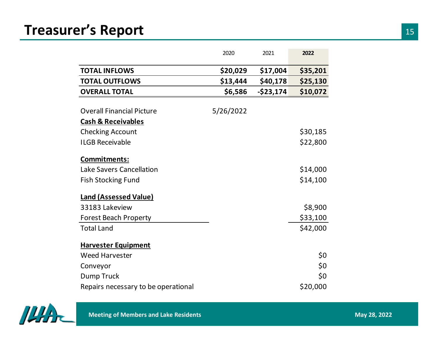# **Treasurer's Report**

|                                     | 2020      | 2021         | 2022     |
|-------------------------------------|-----------|--------------|----------|
| <b>TOTAL INFLOWS</b>                | \$20,029  | \$17,004     | \$35,201 |
| <b>TOTAL OUTFLOWS</b>               | \$13,444  | \$40,178     | \$25,130 |
| <b>OVERALL TOTAL</b>                | \$6,586   | $-$ \$23,174 | \$10,072 |
|                                     |           |              |          |
| <b>Overall Financial Picture</b>    | 5/26/2022 |              |          |
| <b>Cash &amp; Receivables</b>       |           |              |          |
| <b>Checking Account</b>             |           |              | \$30,185 |
| <b>ILGB Receivable</b>              |           |              | \$22,800 |
| <b>Commitments:</b>                 |           |              |          |
| <b>Lake Savers Cancellation</b>     |           |              | \$14,000 |
| <b>Fish Stocking Fund</b>           |           |              | \$14,100 |
| <b>Land (Assessed Value)</b>        |           |              |          |
| 33183 Lakeview                      |           |              | \$8,900  |
| <b>Forest Beach Property</b>        |           |              | \$33,100 |
| <b>Total Land</b>                   |           |              | \$42,000 |
| <b>Harvester Equipment</b>          |           |              |          |
| <b>Weed Harvester</b>               |           |              | \$0      |
| Conveyor                            |           |              | \$0      |
| Dump Truck                          |           |              | \$0      |
| Repairs necessary to be operational |           |              | \$20,000 |

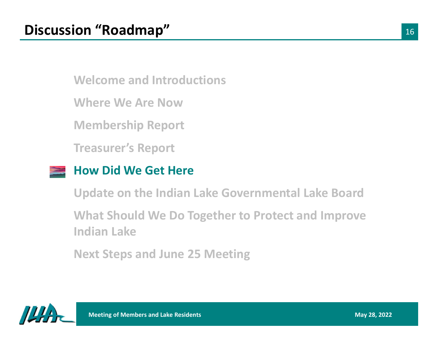**Where We Are Now**

**Membership Report**

**Treasurer's Report**

### **How Did We Get Here**

**Update on the Indian Lake Governmental Lake Board**

**What Should We Do Together to Protect and Improve Indian Lake**

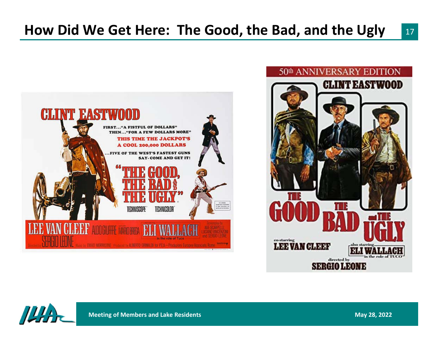



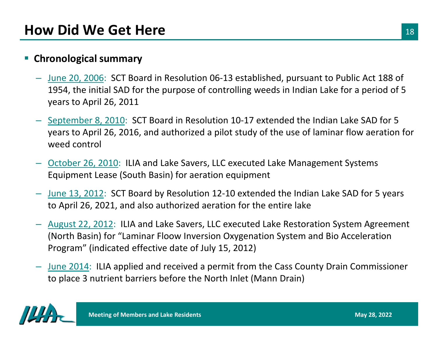### $\mathcal{L}_{\mathcal{A}}$ **Chronological summary**

- June 20, 2006: SCT Board in Resolution 06-13 established, pursuant to Public Act 188 of 1954, the initial SAD for the purpose of controlling weeds in Indian Lake for a period of 5 years to April 26, 2011
- September 8, 2010: SCT Board in Resolution 10-17 extended the Indian Lake SAD for 5 years to April 26, 2016, and authorized a pilot study of the use of laminar flow aeration for weed control
- October 26, 2010: ILIA and Lake Savers, LLC executed Lake Management Systems Equipment Lease (South Basin) for aeration equipment
- June 13, 2012: SCT Board by Resolution 12-10 extended the Indian Lake SAD for 5 years to April 26, 2021, and also authorized aeration for the entire lake
- $-$  August 22, 2012: ILIA and Lake Savers, LLC executed Lake Restoration System Agreement (North Basin) for "Laminar Floow Inversion Oxygenation System and Bio Acceleration Program" (indicated effective date of July 15, 2012)
- June 2014: ILIA applied and received a permit from the Cass County Drain Commissioner to place 3 nutrient barriers before the North Inlet (Mann Drain)

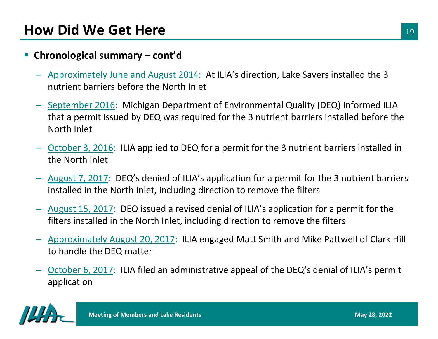#### Ŧ **Chronological summary – cont'd**

- Approximately June and August 2014: At ILIA's direction, Lake Savers installed the 3 nutrient barriers before the North Inlet
- September 2016: Michigan Department of Environmental Quality (DEQ) informed ILIA that a permit issued by DEQ was required for the 3 nutrient barriers installed before the North Inlet
- <u>October 3, 2016</u>: ILIA applied to DEQ for a permit for the 3 nutrient barriers installed in the North Inlet
- August 7, 2017: DEQ's denied of ILIA's application for a permit for the 3 nutrient barriers installed in the North Inlet, including direction to remove the filters
- August 15, 2017: DEQ issued a revised denial of ILIA's application for a permit for the filters installed in the North Inlet, including direction to remove the filters
- Approximately August 20, 2017: ILIA engaged Matt Smith and Mike Pattwell of Clark Hill to handle the DEQ matter
- October 6, 2017: ILIA filed an administrative appeal of the DEQ's denial of ILIA's permit application

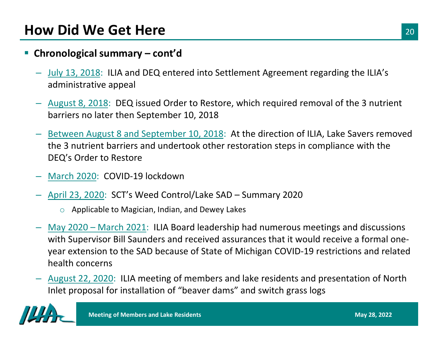### **Chronological summary – cont'd**

- July 13, 2018: ILIA and DEQ entered into Settlement Agreement regarding the ILIA's administrative appeal
- August 8, 2018: DEQ issued Order to Restore, which required removal of the 3 nutrient barriers no later then September 10, 2018
- Between August 8 and September 10, 2018: At the direction of ILIA, Lake Savers removed the 3 nutrient barriers and undertook other restoration steps in compliance with the DEQ's Order to Restore
- March 2020: COVID-19 lockdown
- April 23, 2020: SCT's Weed Control/Lake SAD Summary 2020
	- $\circ$  Applicable to Magician, Indian, and Dewey Lakes
- May 2020 March 2021: ILIA Board leadership had numerous meetings and discussions with Supervisor Bill Saunders and received assurances that it would receive a formal oneyear extension to the SAD because of State of Michigan COVID-19 restrictions and related health concerns
- August 22, 2020: ILIA meeting of members and lake residents and presentation of North Inlet proposal for installation of "beaver dams" and switch grass logs

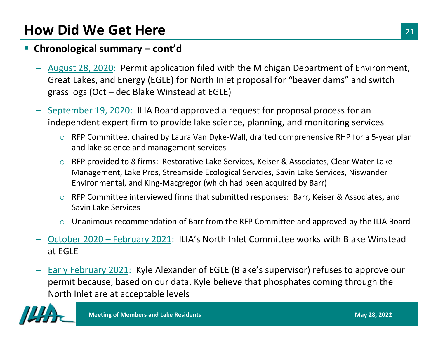### **Chronological summary – cont'd**

- August 28, 2020: Permit application filed with the Michigan Department of Environment, Great Lakes, and Energy (EGLE) for North Inlet proposal for "beaver dams" and switch grass logs (Oct – dec Blake Winstead at EGLE)
- September 19, 2020: ILIA Board approved a request for proposal process for an independent expert firm to provide lake science, planning, and monitoring services
	- o RFP Committee, chaired by Laura Van Dyke-Wall, drafted comprehensive RHP for a 5-year plan and lake science and management services
	- o RFP provided to 8 firms: Restorative Lake Services, Keiser & Associates, Clear Water Lake Management, Lake Pros, Streamside Ecological Servcies, Savin Lake Services, Niswander Environmental, and King-Macgregor (which had been acquired by Barr)
	- o RFP Committee interviewed firms that submitted responses: Barr, Keiser & Associates, and Savin Lake Services
	- $\circ$  Unanimous recommendation of Barr from the RFP Committee and approved by the ILIA Board
- October 2020 February 2021: ILIA's North Inlet Committee works with Blake Winstead at EGLE
- Early February 2021: Kyle Alexander of EGLE (Blake's supervisor) refuses to approve our permit because, based on our data, Kyle believe that phosphates coming through the North Inlet are at acceptable levels

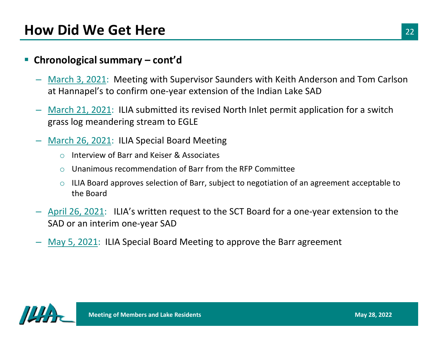#### Ŧ **Chronological summary – cont'd**

- March 3, 2021: Meeting with Supervisor Saunders with Keith Anderson and Tom Carlson at Hannapel's to confirm one-year extension of the Indian Lake SAD
- March 21, 2021: ILIA submitted its revised North Inlet permit application for a switch grass log meandering stream to EGLE
- March 26, 2021: ILIA Special Board Meeting
	- oInterview of Barr and Keiser & Associates
	- oUnanimous recommendation of Barr from the RFP Committee
	- o ILIA Board approves selection of Barr, subject to negotiation of an agreement acceptable to the Board
- April 26, 2021: ILIA's written request to the SCT Board for a one-year extension to the SAD or an interim one-year SAD
- May 5, 2021: ILIA Special Board Meeting to approve the Barr agreement

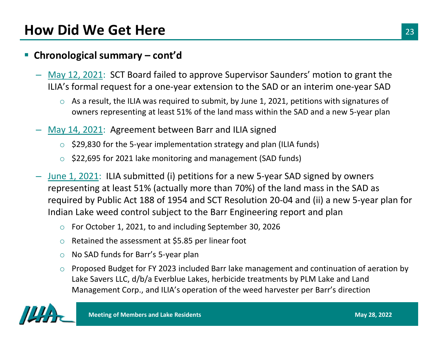### Ŧ **Chronological summary – cont'd**

- May 12, 2021: SCT Board failed to approve Supervisor Saunders' motion to grant the ILIA's formal request for a one-year extension to the SAD or an interim one-year SAD
	- $\circ$  As a result, the ILIA was required to submit, by June 1, 2021, petitions with signatures of owners representing at least 51% of the land mass within the SAD and a new 5-year plan
- May 14, 2021: Agreement between Barr and ILIA signed
	- $\circ$  \$29,830 for the 5-year implementation strategy and plan (ILIA funds)
	- \$22,695 for 2021 lake monitoring and management (SAD funds)
- June 1, 2021: ILIA submitted (i) petitions for a new 5-year SAD signed by owners representing at least 51% (actually more than 70%) of the land mass in the SAD as required by Public Act 188 of 1954 and SCT Resolution 20-04 and (ii) a new 5-year plan for Indian Lake weed control subject to the Barr Engineering report and plan
	- oFor October 1, 2021, to and including September 30, 2026
	- oRetained the assessment at \$5.85 per linear foot
	- oNo SAD funds for Barr's 5-year plan
	- o Proposed Budget for FY 2023 included Barr lake management and continuation of aeration by Lake Savers LLC, d/b/a Everblue Lakes, herbicide treatments by PLM Lake and Land Management Corp., and ILIA's operation of the weed harvester per Barr's direction

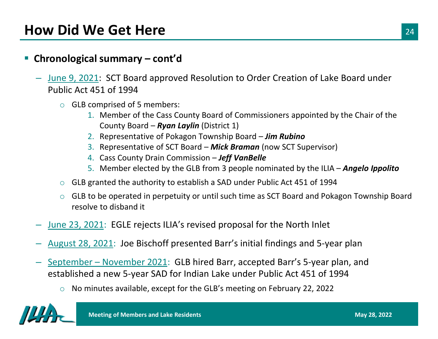#### $\Box$ **Chronological summary – cont'd**

- June 9, 2021: SCT Board approved Resolution to Order Creation of Lake Board under Public Act 451 of 1994
	- o GLB comprised of 5 members:
		- 1. Member of the Cass County Board of Commissioners appointed by the Chair of the County Board – *Ryan Laylin* (District 1)
		- 2. Representative of Pokagon Township Board *Jim Rubino*
		- 3. Representative of SCT Board *Mick Braman* (now SCT Supervisor)
		- 4. Cass County Drain Commission *Jeff VanBelle*
		- 5. Member elected by the GLB from 3 people nominated by the ILIA *Angelo Ippolito*
	- o GLB granted the authority to establish a SAD under Public Act 451 of 1994
	- o GLB to be operated in perpetuity or until such time as SCT Board and Pokagon Township Board resolve to disband it
- June 23, 2021: EGLE rejects ILIA's revised proposal for the North Inlet
- August 28, 2021: Joe Bischoff presented Barr's initial findings and 5-year plan
- September November 2021: GLB hired Barr, accepted Barr's 5-year plan, and established a new 5-year SAD for Indian Lake under Public Act 451 of 1994
	- oNo minutes available, except for the GLB's meeting on February 22, 2022

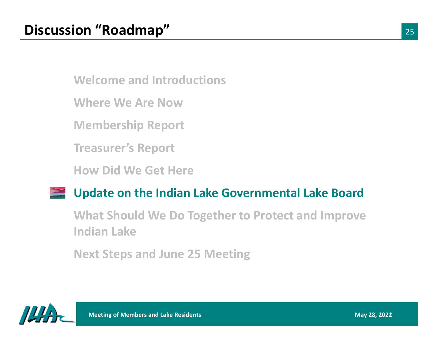**Where We Are Now**

**Membership Report**

**Treasurer's Report**

**How Did We Get Here**

### **Update on the Indian Lake Governmental Lake Board**

**What Should We Do Together to Protect and Improve Indian Lake**

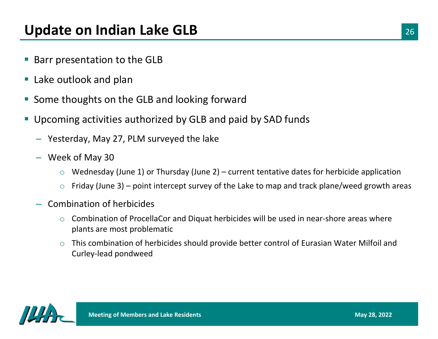- **Service Service** Barr presentation to the GLB
- **Lake outlook and plan**
- $\mathbb{R}^2$ Some thoughts on the GLB and looking forward
- $\mathcal{C}_{\mathcal{A}}$  Upcoming activities authorized by GLB and paid by SAD funds
	- Yesterday, May 27, PLM surveyed the lake
	- Week of May 30
		- oWednesday (June 1) or Thursday (June 2) – current tentative dates for herbicide application
		- oFriday (June 3) – point intercept survey of the Lake to map and track plane/weed growth areas
	- Combination of herbicides
		- o Combination of ProcellaCor and Diquat herbicides will be used in near-shore areas where plants are most problematic
		- o This combination of herbicides should provide better control of Eurasian Water Milfoil and Curley-lead pondweed

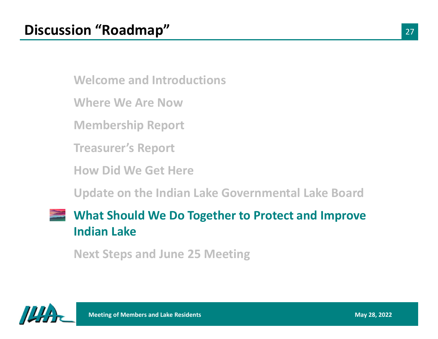**Where We Are Now**

**Membership Report**

**Treasurer's Report**

**How Did We Get Here**

**Update on the Indian Lake Governmental Lake Board**

# **What Should We Do Together to Protect and Improve Indian Lake**

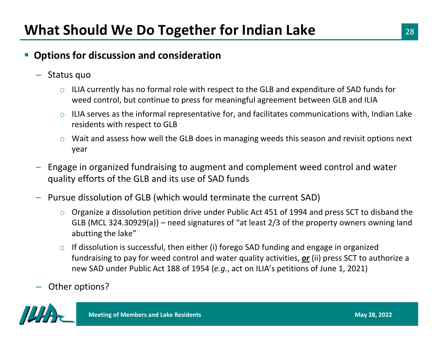### Ŧ **Options for discussion and consideration**

- Status quo
	- $\circ$  ILIA currently has no formal role with respect to the GLB and expenditure of SAD funds for weed control, but continue to press for meaningful agreement between GLB and ILIA
	- o ILIA serves as the informal representative for, and facilitates communications with, Indian Lake residents with respect to GLB
	- $\circ$  Wait and assess how well the GLB does in managing weeds this season and revisit options next year
- Engage in organized fundraising to augment and complement weed control and water quality efforts of the GLB and its use of SAD funds
- Pursue dissolution of GLB (which would terminate the current SAD)
	- $\circ$  Organize a dissolution petition drive under Public Act 451 of 1994 and press SCT to disband the GLB (MCL 324.30929(a)) – need signatures of "at least 2/3 of the property owners owning land abutting the lake"
	- o If dissolution is successful, then either (i) forego SAD funding and engage in organized fundraising to pay for weed control and water quality activities, *or* (ii) press SCT to authorize a new SAD under Public Act 188 of 1954 (*e.g.*, act on ILIA's petitions of June 1, 2021)
- Other options?

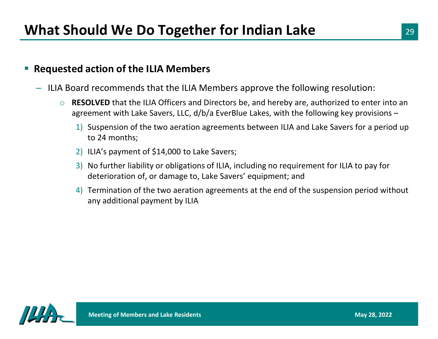#### Ŧ **Requested action of the ILIA Members**

- ILIA Board recommends that the ILIA Members approve the following resolution:
	- o **RESOLVED** that the ILIA Officers and Directors be, and hereby are, authorized to enter into an agreement with Lake Savers, LLC, d/b/a EverBlue Lakes, with the following key provisions –
		- 1) Suspension of the two aeration agreements between ILIA and Lake Savers for a period up to 24 months;
		- 2) ILIA's payment of \$14,000 to Lake Savers;
		- 3) No further liability or obligations of ILIA, including no requirement for ILIA to pay for deterioration of, or damage to, Lake Savers' equipment; and
		- 4) Termination of the two aeration agreements at the end of the suspension period without any additional payment by ILIA

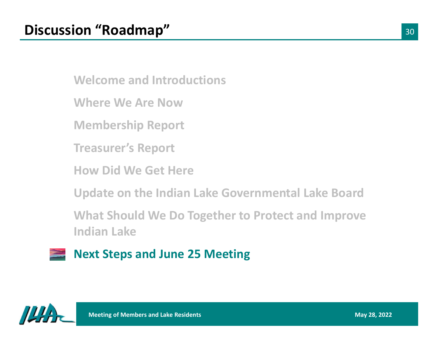**Where We Are Now**

**Membership Report**

**Treasurer's Report**

**How Did We Get Here**

**Update on the Indian Lake Governmental Lake Board**

**What Should We Do Together to Protect and Improve Indian Lake**

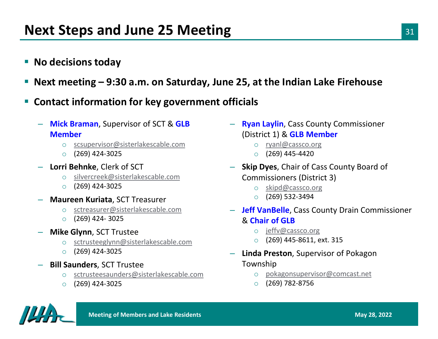- **No decisions today**
- $\mathbb{R}^2$ **Next meeting – 9:30 a.m. on Saturday, June 25, at the Indian Lake Firehouse**
- Ŧ **Contact information for key government officials**
	- **Mick Braman**, Supervisor of SCT & **GLB Member**
		- o scsupervisor@sisterlakescable.com
		- o(269) 424-3025
	- **Lorri Behnke**, Clerk of SCT
		- o silvercreek@sisterlakescable.com
		- o(269) 424-3025
	- **Maureen Kuriata**, SCT Treasurer
		- o sctreasurer@sisterlakescable.com
		- o(269) 424- 3025
	- **Mike Glynn**, SCT Trustee
		- o sctrusteeglynn@sisterlakescable.com
		- o(269) 424-3025
	- **Bill Saunders**, SCT Trustee
		- o sctrusteesaunders@sisterlakescable.com
		- o(269) 424-3025
- **Ryan Laylin**, Cass County Commissioner (District 1) & **GLB Member**
	- o ryanl@cassco.org
	- o (269) 445-4420
- **Skip Dyes**, Chair of Cass County Board of Commissioners (District 3)
	- oskipd@cassco.org
	- o (269) 532-3494
- **Jeff VanBelle**, Cass County Drain Commissioner & **Chair of GLB**
	- o jeffv@cassco.org
	- o(269) 445-8611, ext. 315
- **Linda Preston**, Supervisor of Pokagon Township
	- opokagonsupervisor@comcast.net
	- $\Omega$ (269) 782-8756